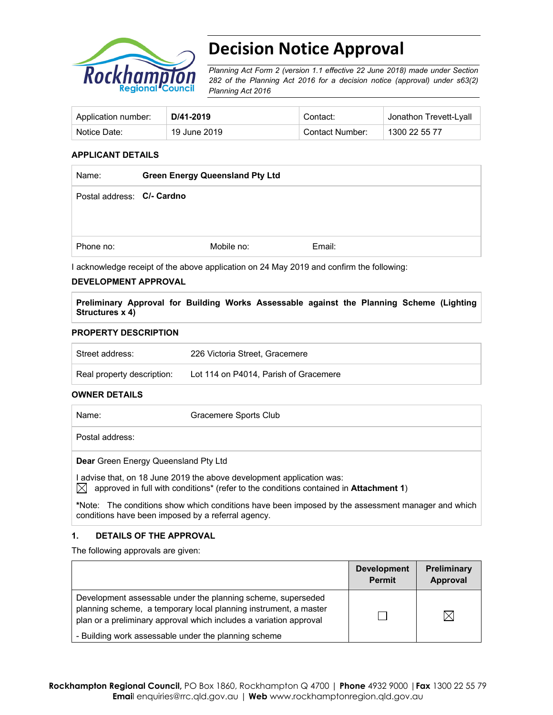

# **Decision Notice Approval**

*Planning Act Form 2 (version 1.1 effective 22 June 2018) made under Section 282 of the Planning Act 2016 for a decision notice (approval) under s63(2) Planning Act 2016*

| Application number: | D/41-2019    | Contact:        | Jonathon Trevett-Lyall |
|---------------------|--------------|-----------------|------------------------|
| Notice Date:        | 19 June 2019 | Contact Number: | 1300 22 55 77          |

#### **APPLICANT DETAILS**

| Name:                      | <b>Green Energy Queensland Pty Ltd</b> |            |        |
|----------------------------|----------------------------------------|------------|--------|
| Postal address: C/- Cardno |                                        |            |        |
|                            |                                        |            |        |
| Phone no:                  |                                        | Mobile no: | Email: |

I acknowledge receipt of the above application on 24 May 2019 and confirm the following:

#### **DEVELOPMENT APPROVAL**

**Preliminary Approval for Building Works Assessable against the Planning Scheme (Lighting Structures x 4)** 

#### **PROPERTY DESCRIPTION**

| Street address:            | 226 Victoria Street, Gracemere        |
|----------------------------|---------------------------------------|
| Real property description: | Lot 114 on P4014, Parish of Gracemere |

#### **OWNER DETAILS**

Name: Gracemere Sports Club Postal address: **Dear** Green Energy Queensland Pty Ltd I advise that, on 18 June 2019 the above development application was:

 $\bowtie$  approved in full with conditions<sup>\*</sup> (refer to the conditions contained in **Attachment 1**)

**\***Note:The conditions show which conditions have been imposed by the assessment manager and which conditions have been imposed by a referral agency.

#### **1. DETAILS OF THE APPROVAL**

The following approvals are given:

|                                                                                                                                                                                                        | <b>Development</b><br><b>Permit</b> | <b>Preliminary</b><br>Approval |
|--------------------------------------------------------------------------------------------------------------------------------------------------------------------------------------------------------|-------------------------------------|--------------------------------|
| Development assessable under the planning scheme, superseded<br>planning scheme, a temporary local planning instrument, a master<br>plan or a preliminary approval which includes a variation approval |                                     |                                |
| - Building work assessable under the planning scheme                                                                                                                                                   |                                     |                                |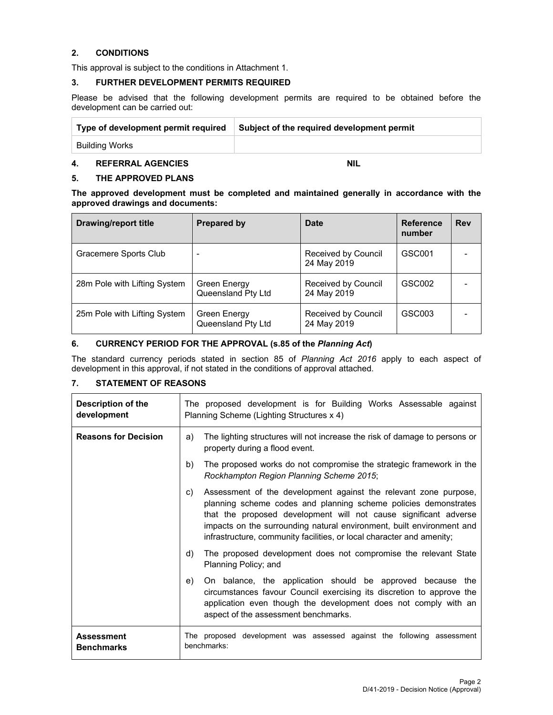#### **2. CONDITIONS**

This approval is subject to the conditions in Attachment 1.

#### **3. FURTHER DEVELOPMENT PERMITS REQUIRED**

Please be advised that the following development permits are required to be obtained before the development can be carried out:

| Type of development permit required | Subject of the required development permit |  |
|-------------------------------------|--------------------------------------------|--|
| Building Works                      |                                            |  |

# **4. REFERRAL AGENCIES NIL**

#### **5. THE APPROVED PLANS**

**The approved development must be completed and maintained generally in accordance with the approved drawings and documents:** 

| Drawing/report title         | <b>Prepared by</b>                 | Date                               | <b>Reference</b><br>number | <b>Rev</b> |
|------------------------------|------------------------------------|------------------------------------|----------------------------|------------|
| Gracemere Sports Club        |                                    | Received by Council<br>24 May 2019 | GSC001                     |            |
| 28m Pole with Lifting System | Green Energy<br>Queensland Pty Ltd | Received by Council<br>24 May 2019 | GSC002                     |            |
| 25m Pole with Lifting System | Green Energy<br>Queensland Pty Ltd | Received by Council<br>24 May 2019 | GSC003                     |            |

## **6. CURRENCY PERIOD FOR THE APPROVAL (s.85 of the** *Planning Act***)**

The standard currency periods stated in section 85 of *Planning Act 2016* apply to each aspect of development in this approval, if not stated in the conditions of approval attached.

#### **7. STATEMENT OF REASONS**

| Description of the<br>development      | The proposed development is for Building Works Assessable against<br>Planning Scheme (Lighting Structures x 4)                                                                                                                                                                                                                                                  |  |  |
|----------------------------------------|-----------------------------------------------------------------------------------------------------------------------------------------------------------------------------------------------------------------------------------------------------------------------------------------------------------------------------------------------------------------|--|--|
| <b>Reasons for Decision</b>            | The lighting structures will not increase the risk of damage to persons or<br>a)<br>property during a flood event.                                                                                                                                                                                                                                              |  |  |
|                                        | The proposed works do not compromise the strategic framework in the<br>b)<br>Rockhampton Region Planning Scheme 2015;                                                                                                                                                                                                                                           |  |  |
|                                        | Assessment of the development against the relevant zone purpose,<br>C)<br>planning scheme codes and planning scheme policies demonstrates<br>that the proposed development will not cause significant adverse<br>impacts on the surrounding natural environment, built environment and<br>infrastructure, community facilities, or local character and amenity; |  |  |
|                                        | The proposed development does not compromise the relevant State<br>d)<br>Planning Policy; and                                                                                                                                                                                                                                                                   |  |  |
|                                        | On balance, the application should be approved because the<br>e)<br>circumstances favour Council exercising its discretion to approve the<br>application even though the development does not comply with an<br>aspect of the assessment benchmarks.                                                                                                            |  |  |
| <b>Assessment</b><br><b>Benchmarks</b> | The proposed development was assessed against the following assessment<br>benchmarks:                                                                                                                                                                                                                                                                           |  |  |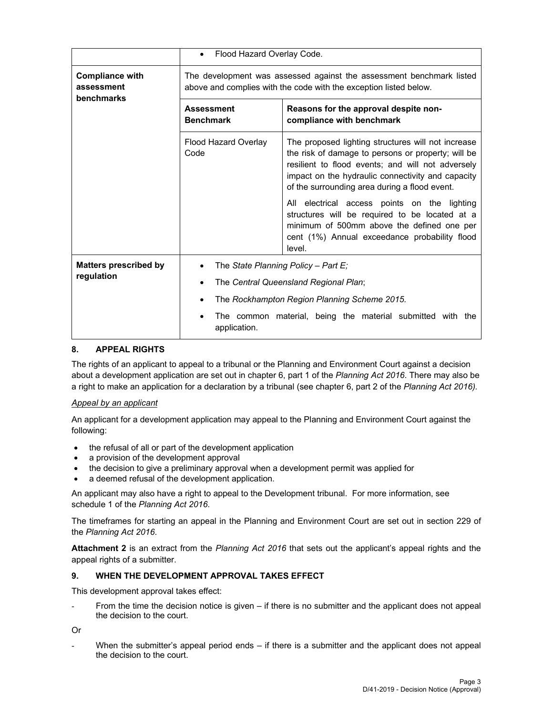|                                                    | Flood Hazard Overlay Code.<br>$\bullet$                                                                                                   |                                                                                                                                                                                                                                                                     |  |  |
|----------------------------------------------------|-------------------------------------------------------------------------------------------------------------------------------------------|---------------------------------------------------------------------------------------------------------------------------------------------------------------------------------------------------------------------------------------------------------------------|--|--|
| <b>Compliance with</b><br>assessment<br>benchmarks | The development was assessed against the assessment benchmark listed<br>above and complies with the code with the exception listed below. |                                                                                                                                                                                                                                                                     |  |  |
|                                                    | <b>Assessment</b><br><b>Benchmark</b>                                                                                                     | Reasons for the approval despite non-<br>compliance with benchmark                                                                                                                                                                                                  |  |  |
|                                                    | <b>Flood Hazard Overlay</b><br>Code                                                                                                       | The proposed lighting structures will not increase<br>the risk of damage to persons or property; will be<br>resilient to flood events; and will not adversely<br>impact on the hydraulic connectivity and capacity<br>of the surrounding area during a flood event. |  |  |
|                                                    |                                                                                                                                           | All electrical access points on the lighting<br>structures will be required to be located at a<br>minimum of 500mm above the defined one per<br>cent (1%) Annual exceedance probability flood<br>level.                                                             |  |  |
| <b>Matters prescribed by</b>                       | The State Planning Policy - Part E;                                                                                                       |                                                                                                                                                                                                                                                                     |  |  |
| regulation                                         | The Central Queensland Regional Plan;                                                                                                     |                                                                                                                                                                                                                                                                     |  |  |
|                                                    | The Rockhampton Region Planning Scheme 2015.                                                                                              |                                                                                                                                                                                                                                                                     |  |  |
|                                                    | The common material, being the material submitted with the<br>application.                                                                |                                                                                                                                                                                                                                                                     |  |  |

## **8. APPEAL RIGHTS**

The rights of an applicant to appeal to a tribunal or the Planning and Environment Court against a decision about a development application are set out in chapter 6, part 1 of the *Planning Act 2016*. There may also be a right to make an application for a declaration by a tribunal (see chapter 6, part 2 of the *Planning Act 2016).*

#### *Appeal by an applicant*

An applicant for a development application may appeal to the Planning and Environment Court against the following:

- the refusal of all or part of the development application
- a provision of the development approval
- the decision to give a preliminary approval when a development permit was applied for
- a deemed refusal of the development application.

An applicant may also have a right to appeal to the Development tribunal. For more information, see schedule 1 of the *Planning Act 2016*.

The timeframes for starting an appeal in the Planning and Environment Court are set out in section 229 of the *Planning Act 2016*.

**Attachment 2** is an extract from the *Planning Act 2016* that sets out the applicant's appeal rights and the appeal rights of a submitter.

## **9. WHEN THE DEVELOPMENT APPROVAL TAKES EFFECT**

This development approval takes effect:

From the time the decision notice is given – if there is no submitter and the applicant does not appeal the decision to the court.

Or

When the submitter's appeal period ends  $-$  if there is a submitter and the applicant does not appeal the decision to the court.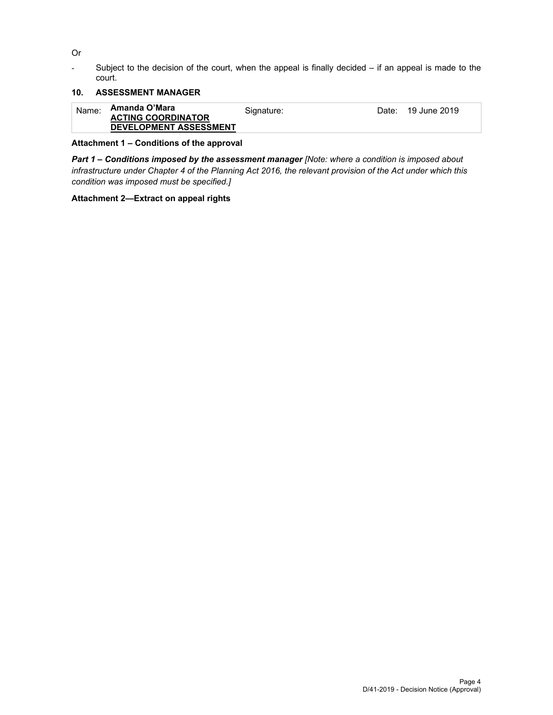Or

- Subject to the decision of the court, when the appeal is finally decided – if an appeal is made to the court.

# **10. ASSESSMENT MANAGER**

| Name: | Amanda O'Mara                 | Signature: | Date: 19 June 2019 |
|-------|-------------------------------|------------|--------------------|
|       | <b>ACTING COORDINATOR</b>     |            |                    |
|       | <b>DEVELOPMENT ASSESSMENT</b> |            |                    |

## **Attachment 1 – Conditions of the approval**

*Part 1* **–** *Conditions imposed by the assessment manager [Note: where a condition is imposed about infrastructure under Chapter 4 of the Planning Act 2016, the relevant provision of the Act under which this condition was imposed must be specified.]*

#### **Attachment 2—Extract on appeal rights**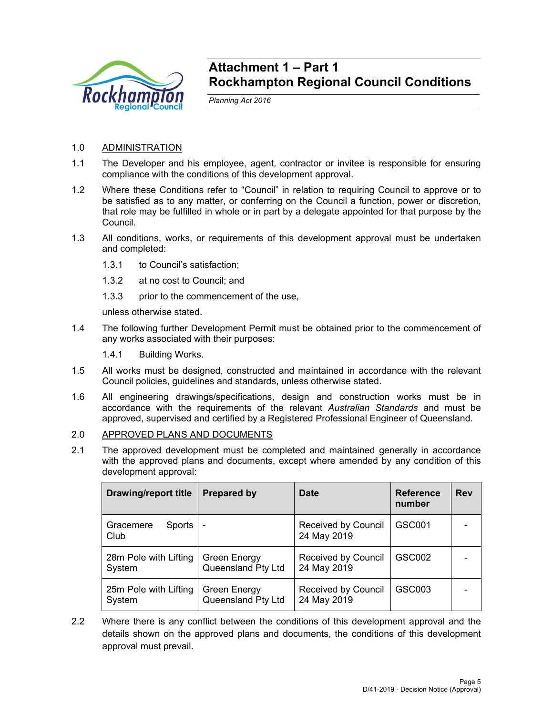

# **Attachment 1 – Part 1 Rockhampton Regional Council Conditions**

*Planning Act 2016* 

# 1.0 ADMINISTRATION

- 1.1 The Developer and his employee, agent, contractor or invitee is responsible for ensuring compliance with the conditions of this development approval.
- 1.2 Where these Conditions refer to "Council" in relation to requiring Council to approve or to be satisfied as to any matter, or conferring on the Council a function, power or discretion, that role may be fulfilled in whole or in part by a delegate appointed for that purpose by the Council.
- 1.3 All conditions, works, or requirements of this development approval must be undertaken and completed:
	- 1.3.1 to Council's satisfaction;
	- 1.3.2 at no cost to Council; and
	- 1.3.3 prior to the commencement of the use,

unless otherwise stated.

- 1.4 The following further Development Permit must be obtained prior to the commencement of any works associated with their purposes:
	- 1.4.1 Building Works.
- 1.5 All works must be designed, constructed and maintained in accordance with the relevant Council policies, guidelines and standards, unless otherwise stated.
- 1.6 All engineering drawings/specifications, design and construction works must be in accordance with the requirements of the relevant *Australian Standards* and must be approved, supervised and certified by a Registered Professional Engineer of Queensland.
- 2.0 APPROVED PLANS AND DOCUMENTS
- 2.1 The approved development must be completed and maintained generally in accordance with the approved plans and documents, except where amended by any condition of this development approval:

| <b>Drawing/report title</b>     | <b>Prepared by</b>                        | <b>Date</b>                               | <b>Reference</b><br>number | <b>Rev</b> |
|---------------------------------|-------------------------------------------|-------------------------------------------|----------------------------|------------|
| Gracemere<br>Sports<br>Club     | $\overline{\phantom{a}}$                  | <b>Received by Council</b><br>24 May 2019 | GSC001                     |            |
| 28m Pole with Lifting<br>System | <b>Green Energy</b><br>Queensland Pty Ltd | Received by Council<br>24 May 2019        | GSC002                     |            |
| 25m Pole with Lifting<br>System | Green Energy<br>Queensland Pty Ltd        | <b>Received by Council</b><br>24 May 2019 | GSC003                     |            |

2.2 Where there is any conflict between the conditions of this development approval and the details shown on the approved plans and documents, the conditions of this development approval must prevail.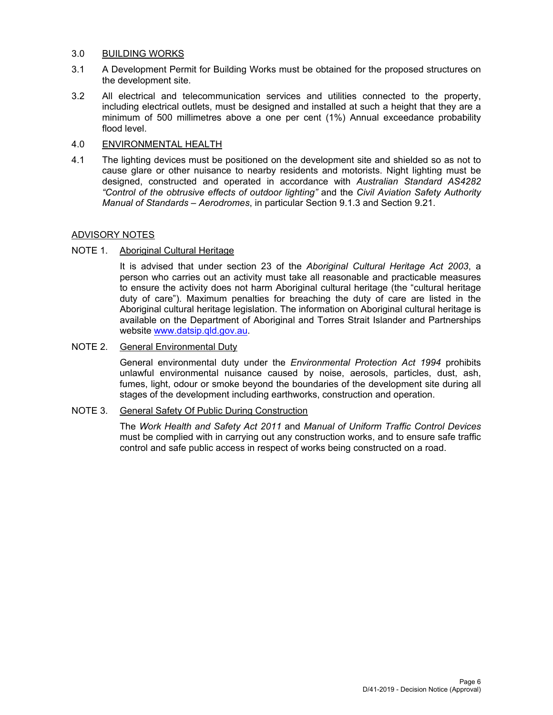#### 3.0 BUILDING WORKS

- 3.1 A Development Permit for Building Works must be obtained for the proposed structures on the development site.
- 3.2 All electrical and telecommunication services and utilities connected to the property, including electrical outlets, must be designed and installed at such a height that they are a minimum of 500 millimetres above a one per cent (1%) Annual exceedance probability flood level.

#### 4.0 ENVIRONMENTAL HEALTH

4.1 The lighting devices must be positioned on the development site and shielded so as not to cause glare or other nuisance to nearby residents and motorists. Night lighting must be designed, constructed and operated in accordance with *Australian Standard AS4282 "Control of the obtrusive effects of outdoor lighting"* and the *Civil Aviation Safety Authority Manual of Standards – Aerodromes*, in particular Section 9.1.3 and Section 9.21.

## ADVISORY NOTES

# NOTE 1. Aboriginal Cultural Heritage

It is advised that under section 23 of the *Aboriginal Cultural Heritage Act 2003*, a person who carries out an activity must take all reasonable and practicable measures to ensure the activity does not harm Aboriginal cultural heritage (the "cultural heritage duty of care"). Maximum penalties for breaching the duty of care are listed in the Aboriginal cultural heritage legislation. The information on Aboriginal cultural heritage is available on the Department of Aboriginal and Torres Strait Islander and Partnerships website www.datsip.qld.gov.au.

#### NOTE 2. General Environmental Duty

General environmental duty under the *Environmental Protection Act 1994* prohibits unlawful environmental nuisance caused by noise, aerosols, particles, dust, ash, fumes, light, odour or smoke beyond the boundaries of the development site during all stages of the development including earthworks, construction and operation.

#### NOTE 3. General Safety Of Public During Construction

The *Work Health and Safety Act 2011* and *Manual of Uniform Traffic Control Devices* must be complied with in carrying out any construction works, and to ensure safe traffic control and safe public access in respect of works being constructed on a road.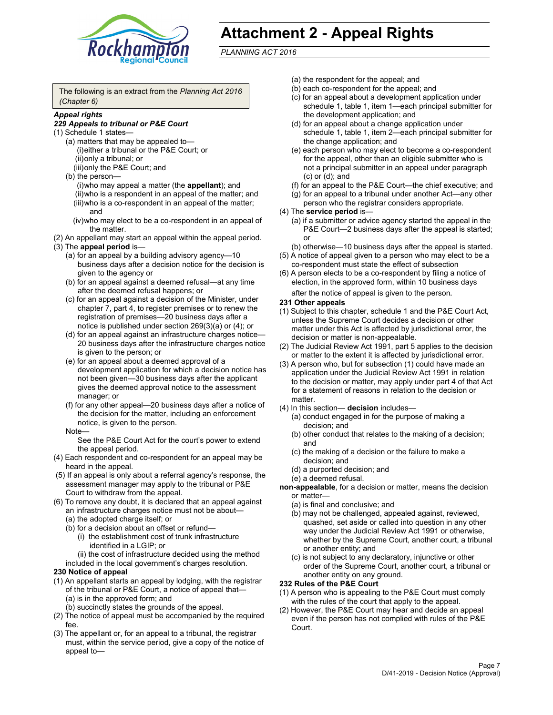

# **Attachment 2 - Appeal Rights**

*PLANNING ACT 2016*

The following is an extract from the *Planning Act 2016 (Chapter 6)*

#### *Appeal rights*

#### *229 Appeals to tribunal or P&E Court*

- (1) Schedule 1 states—
	- (a) matters that may be appealed to— (i) either a tribunal or the P&E Court; or (ii) only a tribunal; or (iii) only the P&E Court; and
	- (b) the person—
		- (i) who may appeal a matter (the **appellant**); and (ii) who is a respondent in an appeal of the matter; and (iii) who is a co-respondent in an appeal of the matter; and
		- (iv) who may elect to be a co-respondent in an appeal of the matter.
- (2) An appellant may start an appeal within the appeal period.
- (3) The **appeal period** is—
	- (a) for an appeal by a building advisory agency—10 business days after a decision notice for the decision is given to the agency or
	- (b) for an appeal against a deemed refusal—at any time after the deemed refusal happens; or
	- (c) for an appeal against a decision of the Minister, under chapter 7, part 4, to register premises or to renew the registration of premises—20 business days after a notice is published under section 269(3)(a) or (4); or
	- (d) for an appeal against an infrastructure charges notice— 20 business days after the infrastructure charges notice is given to the person; or
	- (e) for an appeal about a deemed approval of a development application for which a decision notice has not been given—30 business days after the applicant gives the deemed approval notice to the assessment manager; or
	- (f) for any other appeal—20 business days after a notice of the decision for the matter, including an enforcement notice, is given to the person.

#### Note—

See the P&E Court Act for the court's power to extend the appeal period.

- (4) Each respondent and co-respondent for an appeal may be heard in the appeal.
- (5) If an appeal is only about a referral agency's response, the assessment manager may apply to the tribunal or P&E Court to withdraw from the appeal.
- (6) To remove any doubt, it is declared that an appeal against an infrastructure charges notice must not be about— (a) the adopted charge itself; or
	- (b) for a decision about an offset or refund—
		- (i) the establishment cost of trunk infrastructure identified in a LGIP; or
		- (ii) the cost of infrastructure decided using the method
	- included in the local government's charges resolution.

## **230 Notice of appeal**

- (1) An appellant starts an appeal by lodging, with the registrar of the tribunal or P&E Court, a notice of appeal that— (a) is in the approved form; and
	- (b) succinctly states the grounds of the appeal.
- (2) The notice of appeal must be accompanied by the required fee.
- (3) The appellant or, for an appeal to a tribunal, the registrar must, within the service period, give a copy of the notice of appeal to—
- (a) the respondent for the appeal; and
- (b) each co-respondent for the appeal; and
- (c) for an appeal about a development application under schedule 1, table 1, item 1—each principal submitter for the development application; and
- (d) for an appeal about a change application under schedule 1, table 1, item 2—each principal submitter for the change application; and
- (e) each person who may elect to become a co-respondent for the appeal, other than an eligible submitter who is not a principal submitter in an appeal under paragraph (c) or (d); and
- (f) for an appeal to the P&E Court—the chief executive; and
- (g) for an appeal to a tribunal under another Act—any other person who the registrar considers appropriate.
- (4) The **service period** is—
	- (a) if a submitter or advice agency started the appeal in the P&E Court-2 business days after the appeal is started; or
	- (b) otherwise—10 business days after the appeal is started.
- (5) A notice of appeal given to a person who may elect to be a co-respondent must state the effect of subsection
- (6) A person elects to be a co-respondent by filing a notice of election, in the approved form, within 10 business days
	- after the notice of appeal is given to the person*.*
- **231 Other appeals**
- (1) Subject to this chapter, schedule 1 and the P&E Court Act, unless the Supreme Court decides a decision or other matter under this Act is affected by jurisdictional error, the decision or matter is non-appealable.
- (2) The Judicial Review Act 1991, part 5 applies to the decision or matter to the extent it is affected by jurisdictional error.
- (3) A person who, but for subsection (1) could have made an application under the Judicial Review Act 1991 in relation to the decision or matter, may apply under part 4 of that Act for a statement of reasons in relation to the decision or matter.
- (4) In this section— **decision** includes—
	- (a) conduct engaged in for the purpose of making a decision; and
	- (b) other conduct that relates to the making of a decision; and
	- (c) the making of a decision or the failure to make a decision; and
	- (d) a purported decision; and
	- (e) a deemed refusal.

**non-appealable**, for a decision or matter, means the decision or matter—

- (a) is final and conclusive; and
- (b) may not be challenged, appealed against, reviewed, quashed, set aside or called into question in any other way under the Judicial Review Act 1991 or otherwise, whether by the Supreme Court, another court, a tribunal or another entity; and
- (c) is not subject to any declaratory, injunctive or other order of the Supreme Court, another court, a tribunal or another entity on any ground.

#### **232 Rules of the P&E Court**

- (1) A person who is appealing to the P&E Court must comply with the rules of the court that apply to the appeal.
- (2) However, the P&E Court may hear and decide an appeal even if the person has not complied with rules of the P&E Court.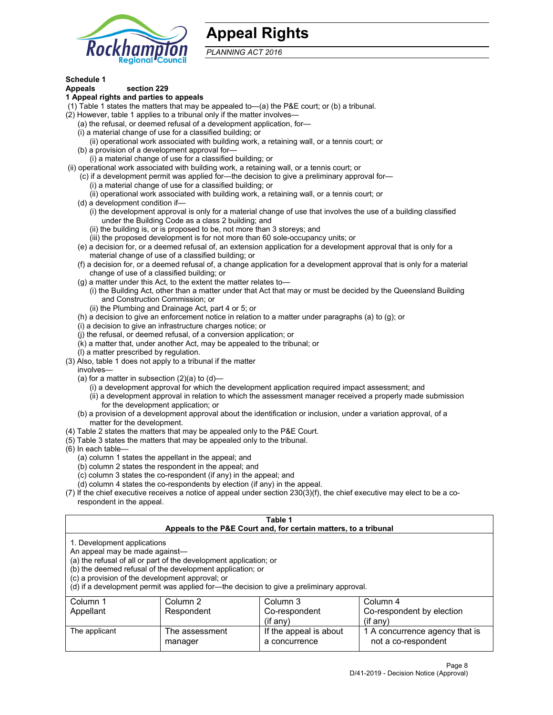

# **Appeal Rights**

*PLANNING ACT 2016*

# **Schedule 1**

# **Appeals section 229**

#### **1 Appeal rights and parties to appeals**

- (1) Table 1 states the matters that may be appealed to—(a) the P&E court; or (b) a tribunal.
- (2) However, table 1 applies to a tribunal only if the matter involves—
	- (a) the refusal, or deemed refusal of a development application, for—
	- (i) a material change of use for a classified building; or
	- (ii) operational work associated with building work, a retaining wall, or a tennis court; or
	- (b) a provision of a development approval for—
	- (i) a material change of use for a classified building; or
- (ii) operational work associated with building work, a retaining wall, or a tennis court; or
	- (c) if a development permit was applied for—the decision to give a preliminary approval for— (i) a material change of use for a classified building; or
	- (ii) operational work associated with building work, a retaining wall, or a tennis court; or
	- (d) a development condition if—
		- (i) the development approval is only for a material change of use that involves the use of a building classified under the Building Code as a class 2 building; and
		- (ii) the building is, or is proposed to be, not more than 3 storeys; and
		- (iii) the proposed development is for not more than 60 sole-occupancy units; or
	- (e) a decision for, or a deemed refusal of, an extension application for a development approval that is only for a material change of use of a classified building; or
	- (f) a decision for, or a deemed refusal of, a change application for a development approval that is only for a material change of use of a classified building; or
	- (g) a matter under this Act, to the extent the matter relates to—
		- (i) the Building Act, other than a matter under that Act that may or must be decided by the Queensland Building and Construction Commission; or
		- (ii) the Plumbing and Drainage Act, part 4 or 5; or
	- (h) a decision to give an enforcement notice in relation to a matter under paragraphs (a) to (g); or
	- (i) a decision to give an infrastructure charges notice; or
	- (j) the refusal, or deemed refusal, of a conversion application; or
	- (k) a matter that, under another Act, may be appealed to the tribunal; or
	- (l) a matter prescribed by regulation.
- (3) Also, table 1 does not apply to a tribunal if the matter
	- involves—
		- (a) for a matter in subsection  $(2)(a)$  to  $(d)$ 
			- (i) a development approval for which the development application required impact assessment; and
			- (ii) a development approval in relation to which the assessment manager received a properly made submission for the development application; or
	- (b) a provision of a development approval about the identification or inclusion, under a variation approval, of a matter for the development.
- (4) Table 2 states the matters that may be appealed only to the P&E Court.
- (5) Table 3 states the matters that may be appealed only to the tribunal.
- (6) In each table—
	- (a) column 1 states the appellant in the appeal; and
	- (b) column 2 states the respondent in the appeal; and
	- (c) column 3 states the co-respondent (if any) in the appeal; and
	- (d) column 4 states the co-respondents by election (if any) in the appeal.
- (7) If the chief executive receives a notice of appeal under section 230(3)(f), the chief executive may elect to be a corespondent in the appeal.

| Table 1<br>Appeals to the P&E Court and, for certain matters, to a tribunal                                      |                                                                                                                                |                                                                                          |                                                       |  |  |
|------------------------------------------------------------------------------------------------------------------|--------------------------------------------------------------------------------------------------------------------------------|------------------------------------------------------------------------------------------|-------------------------------------------------------|--|--|
| 1. Development applications<br>An appeal may be made against-<br>(c) a provision of the development approval; or | (a) the refusal of all or part of the development application; or<br>(b) the deemed refusal of the development application; or | (d) if a development permit was applied for—the decision to give a preliminary approval. |                                                       |  |  |
| Column 1                                                                                                         | Column 2                                                                                                                       | Column 3                                                                                 | Column 4                                              |  |  |
| Appellant                                                                                                        | Respondent                                                                                                                     | Co-respondent<br>$(i$ f anv $)$                                                          | Co-respondent by election<br>$(if$ any)               |  |  |
| The applicant                                                                                                    | The assessment<br>manager                                                                                                      | If the appeal is about<br>a concurrence                                                  | 1 A concurrence agency that is<br>not a co-respondent |  |  |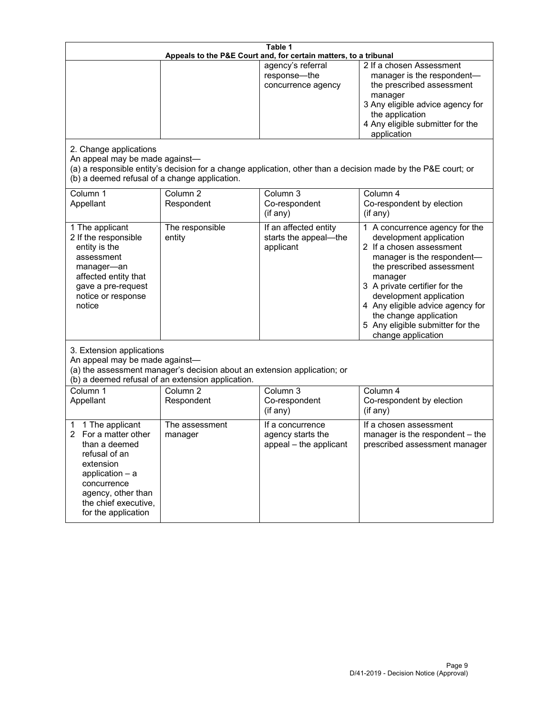| Table 1<br>Appeals to the P&E Court and, for certain matters, to a tribunal                                                                                                                        |                                                                                                                               |                                                                 |                                                                                                                                                                                                                                                                                                                                                 |  |
|----------------------------------------------------------------------------------------------------------------------------------------------------------------------------------------------------|-------------------------------------------------------------------------------------------------------------------------------|-----------------------------------------------------------------|-------------------------------------------------------------------------------------------------------------------------------------------------------------------------------------------------------------------------------------------------------------------------------------------------------------------------------------------------|--|
| 2. Change applications<br>An appeal may be made against-                                                                                                                                           |                                                                                                                               | agency's referral<br>response-the<br>concurrence agency         | 2 If a chosen Assessment<br>manager is the respondent-<br>the prescribed assessment<br>manager<br>3 Any eligible advice agency for<br>the application<br>4 Any eligible submitter for the<br>application<br>(a) a responsible entity's decision for a change application, other than a decision made by the P&E court; or                       |  |
| (b) a deemed refusal of a change application.<br>Column 1<br>Appellant                                                                                                                             | Column $\overline{2}$<br>Respondent                                                                                           | Column 3<br>Co-respondent<br>(if any)                           | Column 4<br>Co-respondent by election<br>(i f any)                                                                                                                                                                                                                                                                                              |  |
| 1 The applicant<br>2 If the responsible<br>entity is the<br>assessment<br>manager-an<br>affected entity that<br>gave a pre-request<br>notice or response<br>notice                                 | The responsible<br>entity                                                                                                     | If an affected entity<br>starts the appeal-the<br>applicant     | 1 A concurrence agency for the<br>development application<br>2 If a chosen assessment<br>manager is the respondent-<br>the prescribed assessment<br>manager<br>3 A private certifier for the<br>development application<br>4 Any eligible advice agency for<br>the change application<br>5 Any eligible submitter for the<br>change application |  |
| 3. Extension applications<br>An appeal may be made against-                                                                                                                                        | (a) the assessment manager's decision about an extension application; or<br>(b) a deemed refusal of an extension application. |                                                                 |                                                                                                                                                                                                                                                                                                                                                 |  |
| Column 1<br>Appellant                                                                                                                                                                              | Column <sub>2</sub><br>Respondent                                                                                             | Column 3<br>Co-respondent<br>(if any)                           | Column 4<br>Co-respondent by election<br>(if any)                                                                                                                                                                                                                                                                                               |  |
| 1 The applicant<br>1<br>For a matter other<br>than a deemed<br>refusal of an<br>extension<br>application $-$ a<br>concurrence<br>agency, other than<br>the chief executive,<br>for the application | The assessment<br>manager                                                                                                     | If a concurrence<br>agency starts the<br>appeal - the applicant | If a chosen assessment<br>manager is the respondent - the<br>prescribed assessment manager                                                                                                                                                                                                                                                      |  |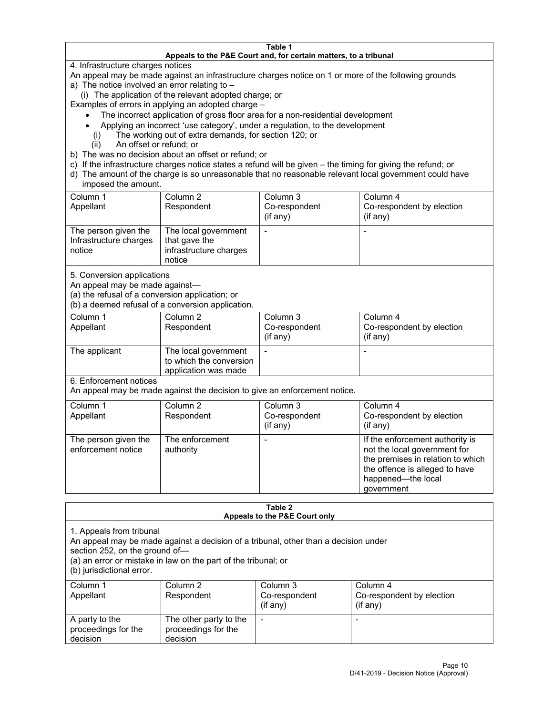#### **Table 1 Appeals to the P&E Court and, for certain matters, to a tribunal**

4. Infrastructure charges notices

An appeal may be made against an infrastructure charges notice on 1 or more of the following grounds

- a) The notice involved an error relating to
	- (i) The application of the relevant adopted charge; or

Examples of errors in applying an adopted charge –

- The incorrect application of gross floor area for a non-residential development
- Applying an incorrect 'use category', under a regulation, to the development
- (i) The working out of extra demands, for section 120; or
- (ii) An offset or refund; or
- b) The was no decision about an offset or refund; or
- c) If the infrastructure charges notice states a refund will be given the timing for giving the refund; or
- d) The amount of the charge is so unreasonable that no reasonable relevant local government could have imposed the amount.

| Column 1<br>Appellant                                    | Column 2<br>Respondent                                                    | Column 3<br>Co-respondent<br>(i f any) | Column 4<br>Co-respondent by election<br>(i f any) |
|----------------------------------------------------------|---------------------------------------------------------------------------|----------------------------------------|----------------------------------------------------|
| The person given the<br>Infrastructure charges<br>notice | The local government<br>that gave the<br>infrastructure charges<br>notice |                                        |                                                    |

5. Conversion applications

An appeal may be made against—

(a) the refusal of a conversion application; or

(b) a deemed refusal of a conversion application.

| Column 1      | Column 2                                        | Column 3      | Column 4                  |
|---------------|-------------------------------------------------|---------------|---------------------------|
| Appellant     | Respondent                                      | Co-respondent | Co-respondent by election |
|               |                                                 | $(if$ any)    | (i f any)                 |
| The applicant | The local government<br>to which the conversion |               |                           |
|               | application was made                            |               |                           |

6. Enforcement notices

An appeal may be made against the decision to give an enforcement notice.

| Column 1<br>Appellant                      | Column 2<br>Respondent       | Column 3<br>Co-respondent<br>(if any) | Column 4<br>Co-respondent by election<br>(if any)                                                                                                                          |
|--------------------------------------------|------------------------------|---------------------------------------|----------------------------------------------------------------------------------------------------------------------------------------------------------------------------|
| The person given the<br>enforcement notice | The enforcement<br>authority |                                       | If the enforcement authority is<br>not the local government for<br>the premises in relation to which<br>the offence is alleged to have<br>happened-the local<br>government |

#### **Table 2 Appeals to the P&E Court only**

1. Appeals from tribunal

An appeal may be made against a decision of a tribunal, other than a decision under

section 252, on the ground of—

(a) an error or mistake in law on the part of the tribunal; or

(b) jurisdictional error.

| Column 1<br>Appellant                             | Column 2<br>Respondent                                    | Column 3<br>Co-respondent<br>$(if$ any) | Column 4<br>Co-respondent by election<br>$(if$ any) |
|---------------------------------------------------|-----------------------------------------------------------|-----------------------------------------|-----------------------------------------------------|
| A party to the<br>proceedings for the<br>decision | The other party to the<br>proceedings for the<br>decision | $\overline{\phantom{a}}$                |                                                     |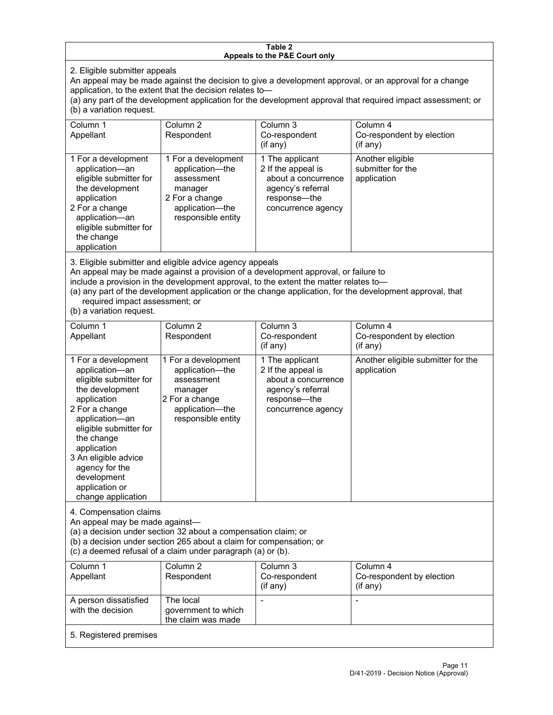#### **Table 2 Appeals to the P&E Court only**

2. Eligible submitter appeals

An appeal may be made against the decision to give a development approval, or an approval for a change application, to the extent that the decision relates to—

(a) any part of the development application for the development approval that required impact assessment; or (b) a variation request.

| Column 1<br>Appellant                                                                                                                                                                        | Column 2<br>Respondent                                                                                                     | Column 3<br>Co-respondent<br>$($ if any $)$                                                                             | Column 4<br>Co-respondent by election<br>(i f any)   |
|----------------------------------------------------------------------------------------------------------------------------------------------------------------------------------------------|----------------------------------------------------------------------------------------------------------------------------|-------------------------------------------------------------------------------------------------------------------------|------------------------------------------------------|
| 1 For a development<br>application-an<br>eligible submitter for<br>the development<br>application<br>2 For a change<br>application-an<br>eligible submitter for<br>the change<br>application | 1 For a development<br>application-the<br>assessment<br>manager<br>2 For a change<br>application-the<br>responsible entity | 1 The applicant<br>2 If the appeal is<br>about a concurrence<br>agency's referral<br>response—the<br>concurrence agency | Another eligible<br>submitter for the<br>application |

3. Eligible submitter and eligible advice agency appeals

An appeal may be made against a provision of a development approval, or failure to

include a provision in the development approval, to the extent the matter relates to—

(a) any part of the development application or the change application, for the development approval, that required impact assessment; or

(b) a variation request.

| Column 1<br>Appellant                                                                                                                                                                                                                                                                         | Column <sub>2</sub><br>Respondent                                                                                          | Column <sub>3</sub><br>Co-respondent<br>(if any)                                                                        | Column 4<br>Co-respondent by election<br>(if any) |
|-----------------------------------------------------------------------------------------------------------------------------------------------------------------------------------------------------------------------------------------------------------------------------------------------|----------------------------------------------------------------------------------------------------------------------------|-------------------------------------------------------------------------------------------------------------------------|---------------------------------------------------|
| 1 For a development<br>application-an<br>eligible submitter for<br>the development<br>application<br>2 For a change<br>application-an<br>eligible submitter for<br>the change<br>application<br>3 An eligible advice<br>agency for the<br>development<br>application or<br>change application | 1 For a development<br>application-the<br>assessment<br>manager<br>2 For a change<br>application-the<br>responsible entity | 1 The applicant<br>2 If the appeal is<br>about a concurrence<br>agency's referral<br>response-the<br>concurrence agency | Another eligible submitter for the<br>application |
| 4. Compensation claims<br>An appeal may be made against-<br>(a) a decision under section 32 about a compensation claim; or<br>(b) a decision under section 265 about a claim for compensation; or<br>(c) a deemed refusal of a claim under paragraph (a) or (b).                              |                                                                                                                            |                                                                                                                         |                                                   |
| Column <sub>1</sub><br>Appellant                                                                                                                                                                                                                                                              | Column <sub>2</sub><br>Respondent                                                                                          | Column <sub>3</sub><br>Co-respondent<br>(if any)                                                                        | Column 4<br>Co-respondent by election<br>(if any) |
| A person dissatisfied<br>with the decision                                                                                                                                                                                                                                                    | The local<br>government to which<br>the claim was made                                                                     |                                                                                                                         |                                                   |
| 5. Registered premises                                                                                                                                                                                                                                                                        |                                                                                                                            |                                                                                                                         |                                                   |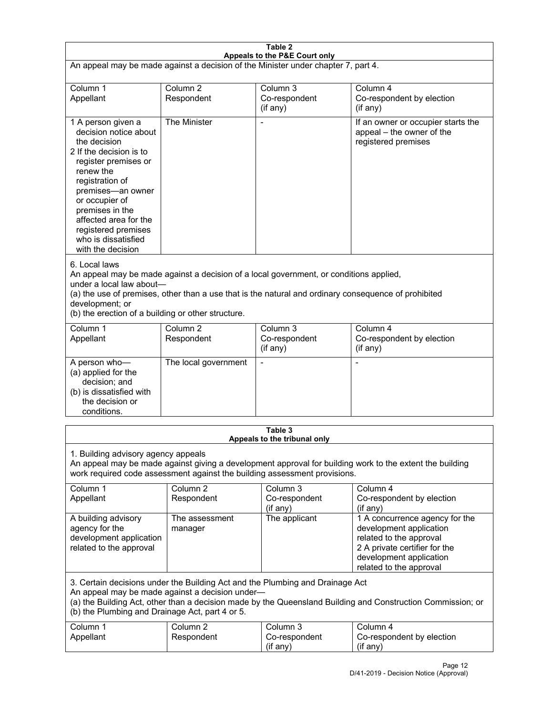| Table 2<br>Appeals to the P&E Court only                                                                                                                                                                                                                                                                             |                                   |                                                  |                                                                                                                                                                             |  |
|----------------------------------------------------------------------------------------------------------------------------------------------------------------------------------------------------------------------------------------------------------------------------------------------------------------------|-----------------------------------|--------------------------------------------------|-----------------------------------------------------------------------------------------------------------------------------------------------------------------------------|--|
| An appeal may be made against a decision of the Minister under chapter 7, part 4.                                                                                                                                                                                                                                    |                                   |                                                  |                                                                                                                                                                             |  |
|                                                                                                                                                                                                                                                                                                                      |                                   |                                                  |                                                                                                                                                                             |  |
| Column 1<br>Appellant                                                                                                                                                                                                                                                                                                | Column <sub>2</sub><br>Respondent | Column <sub>3</sub><br>Co-respondent<br>(if any) | Column 4<br>Co-respondent by election<br>$($ if any $)$                                                                                                                     |  |
| 1 A person given a<br>decision notice about<br>the decision<br>2 If the decision is to<br>register premises or<br>renew the<br>registration of<br>premises-an owner<br>or occupier of<br>premises in the<br>affected area for the<br>registered premises<br>who is dissatisfied<br>with the decision                 | The Minister                      |                                                  | If an owner or occupier starts the<br>appeal - the owner of the<br>registered premises                                                                                      |  |
| 6. Local laws<br>An appeal may be made against a decision of a local government, or conditions applied,<br>under a local law about-<br>(a) the use of premises, other than a use that is the natural and ordinary consequence of prohibited<br>development; or<br>(b) the erection of a building or other structure. |                                   |                                                  |                                                                                                                                                                             |  |
| Column 1<br>Appellant                                                                                                                                                                                                                                                                                                | Column <sub>2</sub><br>Respondent | Column 3<br>Co-respondent<br>(if any)            | Column 4<br>Co-respondent by election<br>(if any)                                                                                                                           |  |
| A person who-<br>(a) applied for the<br>decision; and<br>(b) is dissatisfied with<br>the decision or<br>conditions.                                                                                                                                                                                                  | The local government              | $\blacksquare$                                   | $\blacksquare$                                                                                                                                                              |  |
|                                                                                                                                                                                                                                                                                                                      |                                   | Table 3<br>Appeals to the tribunal only          |                                                                                                                                                                             |  |
| 1. Building advisory agency appeals<br>An appeal may be made against giving a development approval for building work to the extent the building<br>work required code assessment against the building assessment provisions.                                                                                         |                                   |                                                  |                                                                                                                                                                             |  |
| Column 1<br>Appellant                                                                                                                                                                                                                                                                                                | Column <sub>2</sub><br>Respondent | Column <sub>3</sub><br>Co-respondent<br>(if any) | Column 4<br>Co-respondent by election<br>(if any)                                                                                                                           |  |
| A building advisory<br>agency for the<br>development application<br>related to the approval                                                                                                                                                                                                                          | The assessment<br>manager         | The applicant                                    | 1 A concurrence agency for the<br>development application<br>related to the approval<br>2 A private certifier for the<br>development application<br>related to the approval |  |
| 3. Certain decisions under the Building Act and the Plumbing and Drainage Act<br>An appeal may be made against a decision under-<br>(a) the Building Act, other than a decision made by the Queensland Building and Construction Commission; or<br>(b) the Plumbing and Drainage Act, part 4 or 5.                   |                                   |                                                  |                                                                                                                                                                             |  |
| Column 1<br>Appellant                                                                                                                                                                                                                                                                                                | Column <sub>2</sub><br>Respondent | Column 3<br>Co-respondent<br>(if any)            | Column 4<br>Co-respondent by election<br>(if any)                                                                                                                           |  |